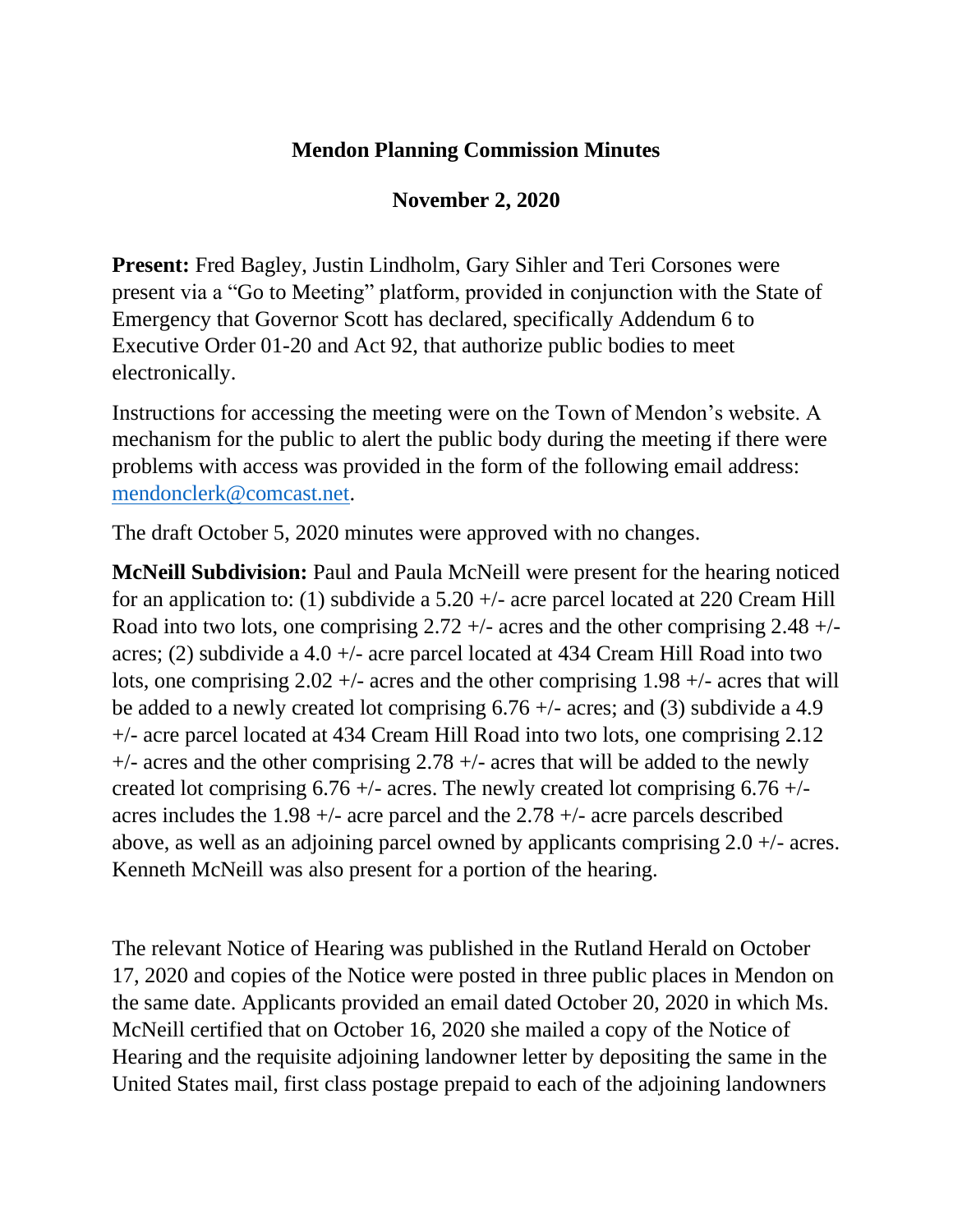## **Mendon Planning Commission Minutes**

## **November 2, 2020**

**Present:** Fred Bagley, Justin Lindholm, Gary Sihler and Teri Corsones were present via a "Go to Meeting" platform, provided in conjunction with the State of Emergency that Governor Scott has declared, specifically Addendum 6 to Executive Order 01-20 and Act 92, that authorize public bodies to meet electronically.

Instructions for accessing the meeting were on the Town of Mendon's website. A mechanism for the public to alert the public body during the meeting if there were problems with access was provided in the form of the following email address: [mendonclerk@comcast.net.](mailto:mendonclerk@comcast.net)

The draft October 5, 2020 minutes were approved with no changes.

**McNeill Subdivision:** Paul and Paula McNeill were present for the hearing noticed for an application to: (1) subdivide a  $5.20 +/-$  acre parcel located at 220 Cream Hill Road into two lots, one comprising 2.72 +/- acres and the other comprising 2.48 +/ acres; (2) subdivide a 4.0 +/- acre parcel located at 434 Cream Hill Road into two lots, one comprising  $2.02 +/-$  acres and the other comprising  $1.98 +/-$  acres that will be added to a newly created lot comprising 6.76 +/- acres; and (3) subdivide a 4.9 +/- acre parcel located at 434 Cream Hill Road into two lots, one comprising 2.12  $+/-$  acres and the other comprising 2.78  $+/-$  acres that will be added to the newly created lot comprising  $6.76 +/-$  acres. The newly created lot comprising  $6.76 +/$ acres includes the 1.98 +/- acre parcel and the 2.78 +/- acre parcels described above, as well as an adjoining parcel owned by applicants comprising 2.0 +/- acres. Kenneth McNeill was also present for a portion of the hearing.

The relevant Notice of Hearing was published in the Rutland Herald on October 17, 2020 and copies of the Notice were posted in three public places in Mendon on the same date. Applicants provided an email dated October 20, 2020 in which Ms. McNeill certified that on October 16, 2020 she mailed a copy of the Notice of Hearing and the requisite adjoining landowner letter by depositing the same in the United States mail, first class postage prepaid to each of the adjoining landowners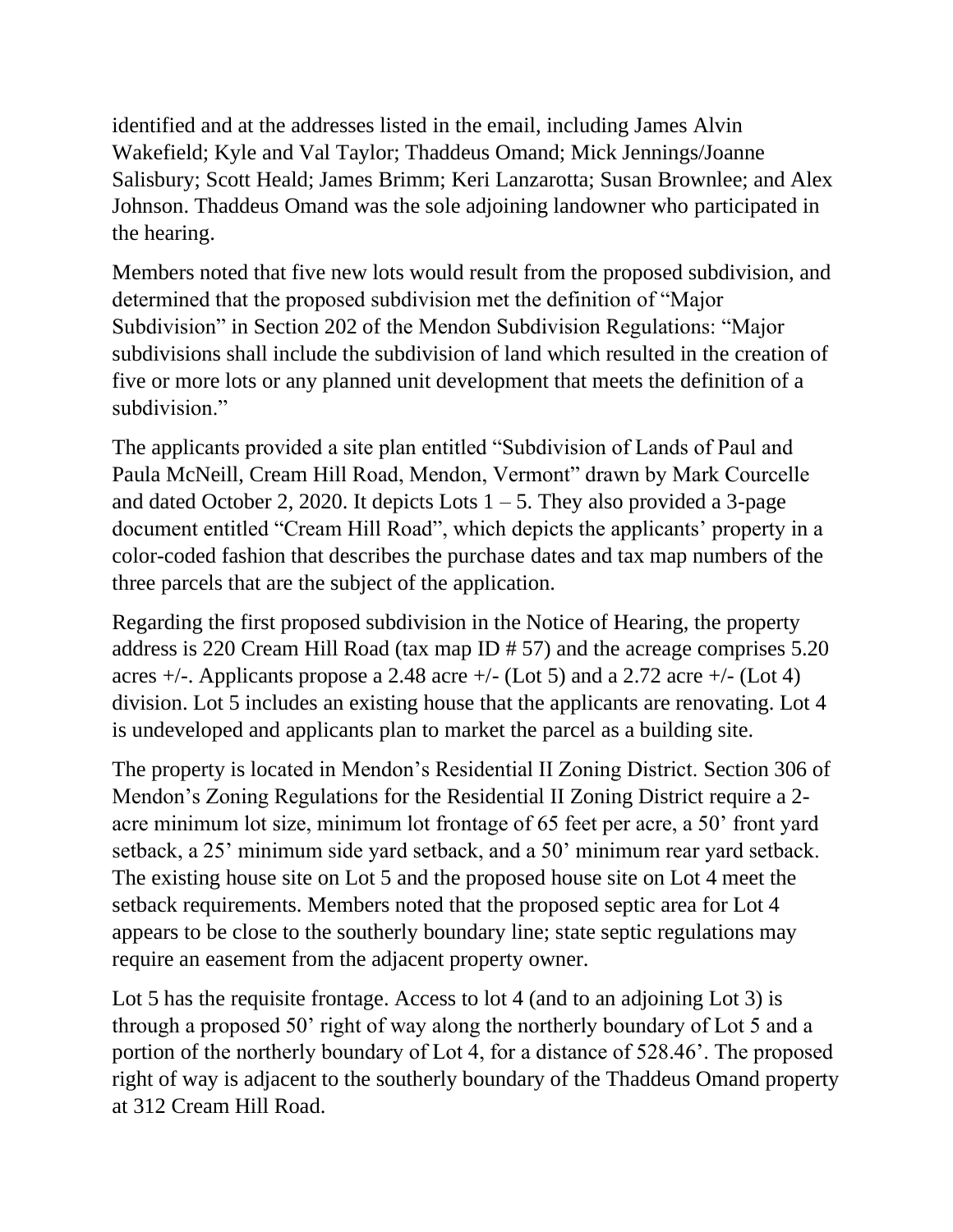identified and at the addresses listed in the email, including James Alvin Wakefield; Kyle and Val Taylor; Thaddeus Omand; Mick Jennings/Joanne Salisbury; Scott Heald; James Brimm; Keri Lanzarotta; Susan Brownlee; and Alex Johnson. Thaddeus Omand was the sole adjoining landowner who participated in the hearing.

Members noted that five new lots would result from the proposed subdivision, and determined that the proposed subdivision met the definition of "Major Subdivision" in Section 202 of the Mendon Subdivision Regulations: "Major subdivisions shall include the subdivision of land which resulted in the creation of five or more lots or any planned unit development that meets the definition of a subdivision."

The applicants provided a site plan entitled "Subdivision of Lands of Paul and Paula McNeill, Cream Hill Road, Mendon, Vermont" drawn by Mark Courcelle and dated October 2, 2020. It depicts Lots  $1 - 5$ . They also provided a 3-page document entitled "Cream Hill Road", which depicts the applicants' property in a color-coded fashion that describes the purchase dates and tax map numbers of the three parcels that are the subject of the application.

Regarding the first proposed subdivision in the Notice of Hearing, the property address is 220 Cream Hill Road (tax map ID # 57) and the acreage comprises 5.20 acres  $+/-$ . Applicants propose a 2.48 acre  $+/-$  (Lot 5) and a 2.72 acre  $+/-$  (Lot 4) division. Lot 5 includes an existing house that the applicants are renovating. Lot 4 is undeveloped and applicants plan to market the parcel as a building site.

The property is located in Mendon's Residential II Zoning District. Section 306 of Mendon's Zoning Regulations for the Residential II Zoning District require a 2 acre minimum lot size, minimum lot frontage of 65 feet per acre, a 50' front yard setback, a 25' minimum side yard setback, and a 50' minimum rear yard setback. The existing house site on Lot 5 and the proposed house site on Lot 4 meet the setback requirements. Members noted that the proposed septic area for Lot 4 appears to be close to the southerly boundary line; state septic regulations may require an easement from the adjacent property owner.

Lot 5 has the requisite frontage. Access to lot 4 (and to an adjoining Lot 3) is through a proposed 50' right of way along the northerly boundary of Lot 5 and a portion of the northerly boundary of Lot 4, for a distance of 528.46'. The proposed right of way is adjacent to the southerly boundary of the Thaddeus Omand property at 312 Cream Hill Road.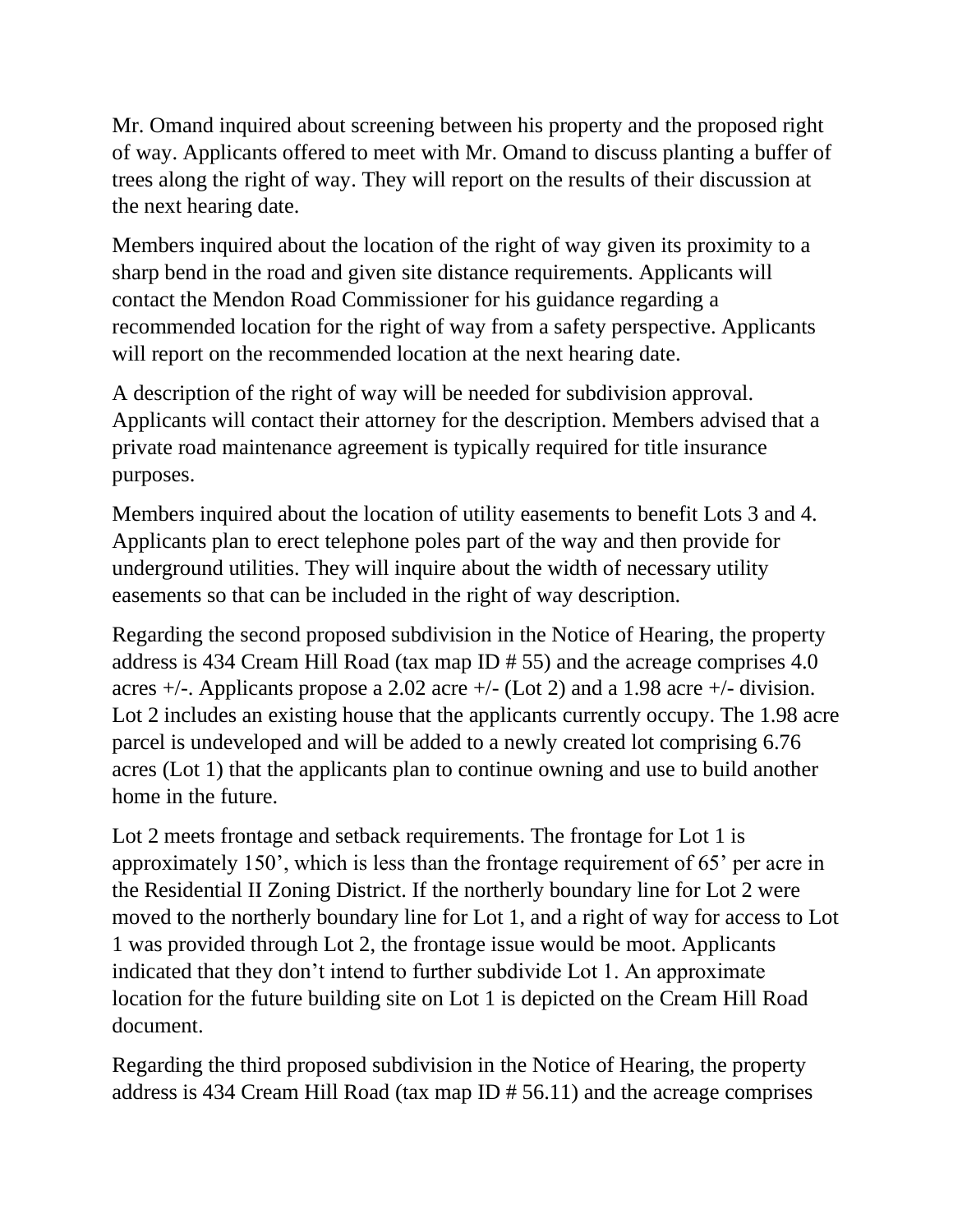Mr. Omand inquired about screening between his property and the proposed right of way. Applicants offered to meet with Mr. Omand to discuss planting a buffer of trees along the right of way. They will report on the results of their discussion at the next hearing date.

Members inquired about the location of the right of way given its proximity to a sharp bend in the road and given site distance requirements. Applicants will contact the Mendon Road Commissioner for his guidance regarding a recommended location for the right of way from a safety perspective. Applicants will report on the recommended location at the next hearing date.

A description of the right of way will be needed for subdivision approval. Applicants will contact their attorney for the description. Members advised that a private road maintenance agreement is typically required for title insurance purposes.

Members inquired about the location of utility easements to benefit Lots 3 and 4. Applicants plan to erect telephone poles part of the way and then provide for underground utilities. They will inquire about the width of necessary utility easements so that can be included in the right of way description.

Regarding the second proposed subdivision in the Notice of Hearing, the property address is 434 Cream Hill Road (tax map ID # 55) and the acreage comprises 4.0 acres  $+/-$ . Applicants propose a 2.02 acre  $+/-$  (Lot 2) and a 1.98 acre  $+/-$  division. Lot 2 includes an existing house that the applicants currently occupy. The 1.98 acre parcel is undeveloped and will be added to a newly created lot comprising 6.76 acres (Lot 1) that the applicants plan to continue owning and use to build another home in the future.

Lot 2 meets frontage and setback requirements. The frontage for Lot 1 is approximately 150', which is less than the frontage requirement of 65' per acre in the Residential II Zoning District. If the northerly boundary line for Lot 2 were moved to the northerly boundary line for Lot 1, and a right of way for access to Lot 1 was provided through Lot 2, the frontage issue would be moot. Applicants indicated that they don't intend to further subdivide Lot 1. An approximate location for the future building site on Lot 1 is depicted on the Cream Hill Road document.

Regarding the third proposed subdivision in the Notice of Hearing, the property address is 434 Cream Hill Road (tax map ID # 56.11) and the acreage comprises